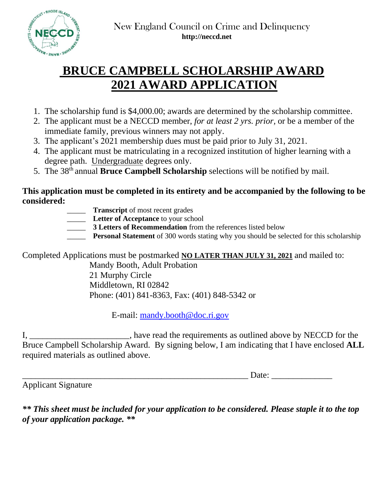

# **BRUCE CAMPBELL SCHOLARSHIP AWARD 2021 AWARD APPLICATION**

- 1. The scholarship fund is \$4,000.00; awards are determined by the scholarship committee.
- 2. The applicant must be a NECCD member, *for at least 2 yrs. prior,* or be a member of the immediate family, previous winners may not apply.
- 3. The applicant's 2021 membership dues must be paid prior to July 31, 2021.
- 4. The applicant must be matriculating in a recognized institution of higher learning with a degree path. Undergraduate degrees only.
- 5. The 38<sup>th</sup> annual **Bruce Campbell Scholarship** selections will be notified by mail.

## **This application must be completed in its entirety and be accompanied by the following to be considered:**

- **Transcript** of most recent grades
- **Letter of Acceptance** to your school
	- \_\_\_\_\_ **3 Letters of Recommendation** from the references listed below
- **Personal Statement** of 300 words stating why you should be selected for this scholarship

Completed Applications must be postmarked **NO LATER THAN JULY 31, 2021** and mailed to:

Mandy Booth, Adult Probation 21 Murphy Circle Middletown, RI 02842 Phone: (401) 841-8363, Fax: (401) 848-5342 or

E-mail: [mandy.booth@doc.ri.gov](mailto:mandy.booth@doc.ri.gov)

I, have read the requirements as outlined above by NECCD for the Bruce Campbell Scholarship Award. By signing below, I am indicating that I have enclosed **ALL** required materials as outlined above.

\_\_\_\_\_\_\_\_\_\_\_\_\_\_\_\_\_\_\_\_\_\_\_\_\_\_\_\_\_\_\_\_\_\_\_\_\_\_\_\_\_\_\_\_\_\_\_\_\_\_\_\_ Date: \_\_\_\_\_\_\_\_\_\_\_\_\_\_

Applicant Signature

*\*\* This sheet must be included for your application to be considered. Please staple it to the top of your application package. \*\**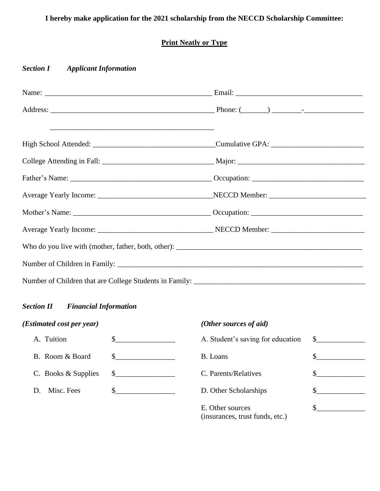# **I hereby make application for the 2021 scholarship from the NECCD Scholarship Committee:**

### **Print Neatly or Type**

#### *Section I Applicant Information*

#### *Section II Financial Information*

*(Estimated cost per year) (Other sources of aid)*

| A. Tuition                                    |  |
|-----------------------------------------------|--|
| B. Room & Board                               |  |
| C. Books $&$ Supplies $\quad \quad \text{\_}$ |  |
| D. Misc. Fees                                 |  |
|                                               |  |

| A. Tuition          |                                                                                                                       | A. Student's saving for education                   | $\mathbb{S}$ |
|---------------------|-----------------------------------------------------------------------------------------------------------------------|-----------------------------------------------------|--------------|
| B. Room & Board     | $\mathbb{S}$                                                                                                          | B. Loans                                            |              |
| C. Books & Supplies | $\mathbb{S}$                                                                                                          | C. Parents/Relatives                                |              |
| D. Misc. Fees       | <u> 1980 - Jan Barbara Barbara, prima prima prima prima prima prima prima prima prima prima prima prima prima pri</u> | D. Other Scholarships                               |              |
|                     |                                                                                                                       | E. Other sources<br>(insurances, trust funds, etc.) |              |